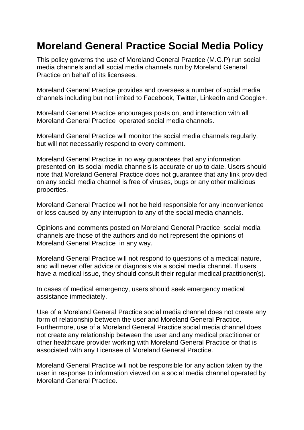## **Moreland General Practice Social Media Policy**

This policy governs the use of Moreland General Practice (M.G.P) run social media channels and all social media channels run by Moreland General Practice on behalf of its licensees.

Moreland General Practice provides and oversees a number of social media channels including but not limited to Facebook, Twitter, LinkedIn and Google+.

Moreland General Practice encourages posts on, and interaction with all Moreland General Practice operated social media channels.

Moreland General Practice will monitor the social media channels regularly, but will not necessarily respond to every comment.

Moreland General Practice in no way guarantees that any information presented on its social media channels is accurate or up to date. Users should note that Moreland General Practice does not guarantee that any link provided on any social media channel is free of viruses, bugs or any other malicious properties.

Moreland General Practice will not be held responsible for any inconvenience or loss caused by any interruption to any of the social media channels.

Opinions and comments posted on Moreland General Practice social media channels are those of the authors and do not represent the opinions of Moreland General Practice in any way.

Moreland General Practice will not respond to questions of a medical nature, and will never offer advice or diagnosis via a social media channel. If users have a medical issue, they should consult their regular medical practitioner(s).

In cases of medical emergency, users should seek emergency medical assistance immediately.

Use of a Moreland General Practice social media channel does not create any form of relationship between the user and Moreland General Practice. Furthermore, use of a Moreland General Practice social media channel does not create any relationship between the user and any medical practitioner or other healthcare provider working with Moreland General Practice or that is associated with any Licensee of Moreland General Practice.

Moreland General Practice will not be responsible for any action taken by the user in response to information viewed on a social media channel operated by Moreland General Practice.